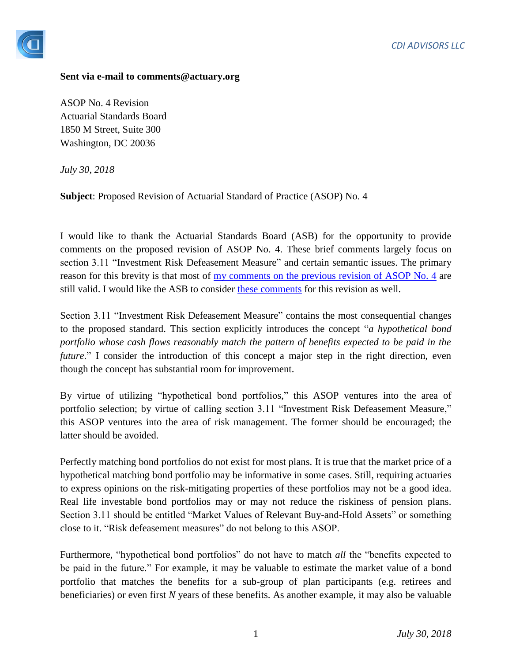

## **Sent via e-mail to comments@actuary.org**

ASOP No. 4 Revision Actuarial Standards Board 1850 M Street, Suite 300 Washington, DC 20036

*July 30, 2018*

**Subject**: Proposed Revision of Actuarial Standard of Practice (ASOP) No. 4

I would like to thank the Actuarial Standards Board (ASB) for the opportunity to provide comments on the proposed revision of ASOP No. 4. These brief comments largely focus on section 3.11 "Investment Risk Defeasement Measure" and certain semantic issues. The primary reason for this brevity is that most of <u>my comments on the previous revision of ASOP No. 4</u> are still valid. I would like the ASB to consider [these comments](https://img1.wsimg.com/blobby/go/4d4cf479-d9ad-4bcc-86c9-0ff104d9a3d2/downloads/1br8328n9_813285.pdf) for this revision as well.

Section 3.11 "Investment Risk Defeasement Measure" contains the most consequential changes to the proposed standard. This section explicitly introduces the concept "*a hypothetical bond portfolio whose cash flows reasonably match the pattern of benefits expected to be paid in the future*." I consider the introduction of this concept a major step in the right direction, even though the concept has substantial room for improvement.

By virtue of utilizing "hypothetical bond portfolios," this ASOP ventures into the area of portfolio selection; by virtue of calling section 3.11 "Investment Risk Defeasement Measure," this ASOP ventures into the area of risk management. The former should be encouraged; the latter should be avoided.

Perfectly matching bond portfolios do not exist for most plans. It is true that the market price of a hypothetical matching bond portfolio may be informative in some cases. Still, requiring actuaries to express opinions on the risk-mitigating properties of these portfolios may not be a good idea. Real life investable bond portfolios may or may not reduce the riskiness of pension plans. Section 3.11 should be entitled "Market Values of Relevant Buy-and-Hold Assets" or something close to it. "Risk defeasement measures" do not belong to this ASOP.

Furthermore, "hypothetical bond portfolios" do not have to match *all* the "benefits expected to be paid in the future." For example, it may be valuable to estimate the market value of a bond portfolio that matches the benefits for a sub-group of plan participants (e.g. retirees and beneficiaries) or even first *N* years of these benefits. As another example, it may also be valuable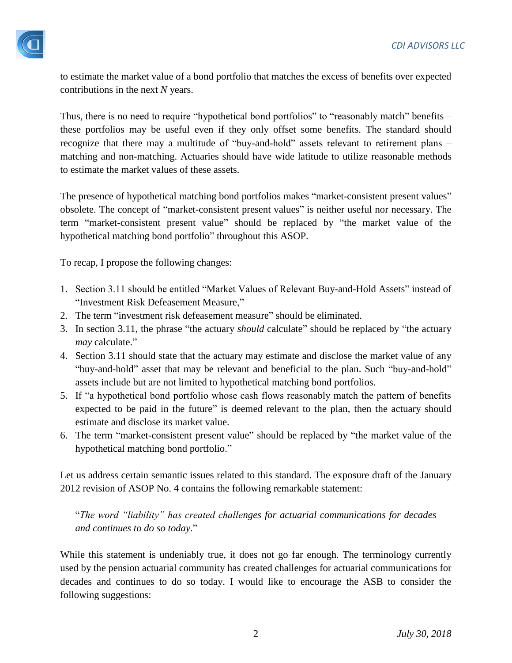

to estimate the market value of a bond portfolio that matches the excess of benefits over expected contributions in the next *N* years.

Thus, there is no need to require "hypothetical bond portfolios" to "reasonably match" benefits – these portfolios may be useful even if they only offset some benefits. The standard should recognize that there may a multitude of "buy-and-hold" assets relevant to retirement plans – matching and non-matching. Actuaries should have wide latitude to utilize reasonable methods to estimate the market values of these assets.

The presence of hypothetical matching bond portfolios makes "market-consistent present values" obsolete. The concept of "market-consistent present values" is neither useful nor necessary. The term "market-consistent present value" should be replaced by "the market value of the hypothetical matching bond portfolio" throughout this ASOP.

To recap, I propose the following changes:

- 1. Section 3.11 should be entitled "Market Values of Relevant Buy-and-Hold Assets" instead of "Investment Risk Defeasement Measure,"
- 2. The term "investment risk defeasement measure" should be eliminated.
- 3. In section 3.11, the phrase "the actuary *should* calculate" should be replaced by "the actuary *may* calculate."
- 4. Section 3.11 should state that the actuary may estimate and disclose the market value of any "buy-and-hold" asset that may be relevant and beneficial to the plan. Such "buy-and-hold" assets include but are not limited to hypothetical matching bond portfolios.
- 5. If "a hypothetical bond portfolio whose cash flows reasonably match the pattern of benefits expected to be paid in the future" is deemed relevant to the plan, then the actuary should estimate and disclose its market value.
- 6. The term "market-consistent present value" should be replaced by "the market value of the hypothetical matching bond portfolio."

Let us address certain semantic issues related to this standard. The exposure draft of the January 2012 revision of ASOP No. 4 contains the following remarkable statement:

"*The word "liability" has created challenges for actuarial communications for decades and continues to do so today*."

While this statement is undeniably true, it does not go far enough. The terminology currently used by the pension actuarial community has created challenges for actuarial communications for decades and continues to do so today. I would like to encourage the ASB to consider the following suggestions: